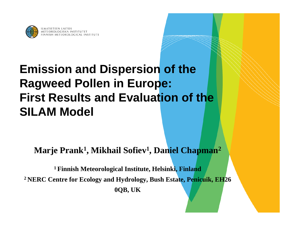

# **Emission and Dispersion of the Ragweed Pollen in Europe: First Results and Evaluation of the SILAM Model**

**Marje Prank 1, Mikhail Sofiev 1, Daniel Chapman 2**

**1 Finnish Meteorological Institute, Helsinki, Finland 2 NERC Centre for Ecology and Hydrology, Bush Estate, Penicuik, EH26 0QB, UK**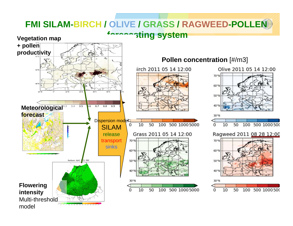## **FMI SILAM-BIRCH / OLIVE / GRASS / RAGWEED-POLLENG**

**sting system** 



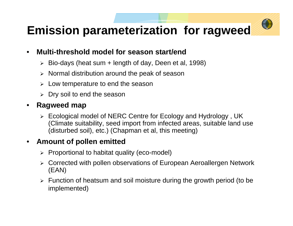# **Emission parameterization for ragweed**

#### • **Multi-threshold model for season start/end**

- ¾ Bio-days (heat sum + length of day, Deen et al, 1998)
- ¾ Normal distribution around the peak of season
- $\blacktriangleright$ Low temperature to end the season
- ¾ Dry soil to end the season

### • **Ragweed map**

¾ Ecological model of NERC Centre for Ecology and Hydrology , UK (Climate suitability, seed import from infected areas, suitable land use (disturbed soil), etc.) (Chapman et al, this meeting)

#### • **Amount of pollen emitted**

- ¾ Proportional to habitat quality (eco-model)
- ¾ Corrected with pollen observations of European Aeroallergen Network (EAN)
- ¾ Function of heatsum and soil moisture during the growth period (to be implemented)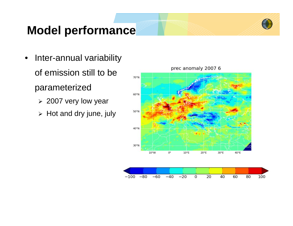

# **Model performance**

- Inter-annual variability of emission still to be parameterized
	- ¾ 2007 very low year
	- $\triangleright$  Hot and dry june, july